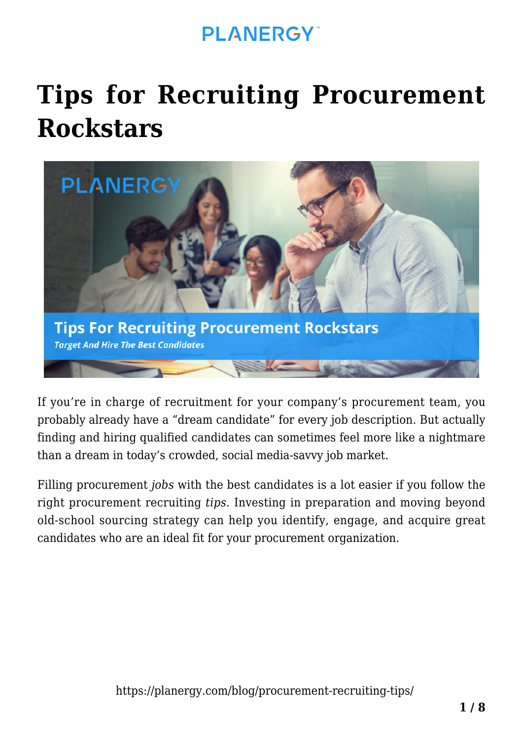# **[Tips for Recruiting Procurement](https://planergy.com/blog/procurement-recruiting-tips/) [Rockstars](https://planergy.com/blog/procurement-recruiting-tips/)**



If you're in charge of recruitment for your company's procurement team, you probably already have a "dream candidate" for every job description. But actually finding and hiring qualified candidates can sometimes feel more like a nightmare than a dream in today's crowded, social media-savvy job market.

Filling procurement *jobs* with the best candidates is a lot easier if you follow the right procurement recruiting *tips*. Investing in preparation and moving beyond old-school sourcing strategy can help you identify, engage, and acquire great candidates who are an ideal fit for your procurement organization.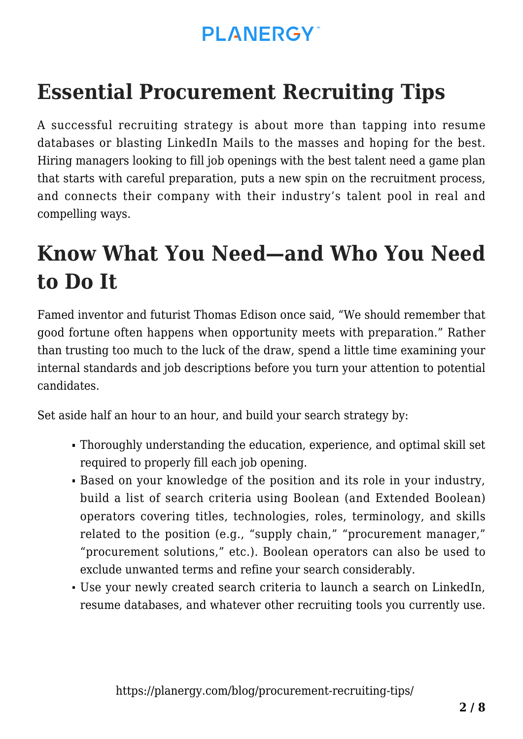## **Essential Procurement Recruiting Tips**

A successful recruiting strategy is about more than tapping into resume databases or blasting LinkedIn Mails to the masses and hoping for the best. Hiring managers looking to fill job openings with the best talent need a game plan that starts with careful preparation, puts a new spin on the recruitment process, and connects their company with their industry's talent pool in real and compelling ways.

### **Know What You Need—and Who You Need to Do It**

Famed inventor and futurist Thomas Edison once said, "We should remember that good fortune often happens when opportunity meets with preparation." Rather than trusting too much to the luck of the draw, spend a little time examining your internal standards and job descriptions before you turn your attention to potential candidates.

Set aside half an hour to an hour, and build your search strategy by:

- Thoroughly understanding the education, experience, and optimal skill set required to properly fill each job opening.
- Based on your knowledge of the position and its role in your industry, build a list of search criteria using Boolean (and Extended Boolean) [operators](https://www.talkwalker.com/blog/how-boolean-search-operators-make-searching-a-piece-of-cake) covering titles, technologies, roles, terminology, and skills related to the position (e.g., "supply chain," "procurement manager," "[procurement solutions,](https://planergy.com/procurement-solutions/)" etc.). Boolean operators can also be used to exclude unwanted terms and refine your search considerably.
- Use your newly created search criteria to launch a search on LinkedIn, resume databases, and whatever other recruiting tools you currently use.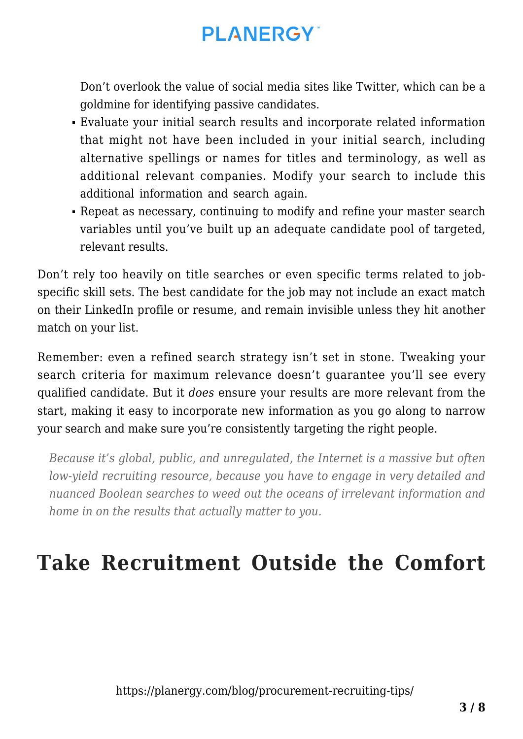Don't overlook the value of social media sites like Twitter, which can be a goldmine for identifying passive candidates.

- Evaluate your initial search results and incorporate related information that might not have been included in your initial search, including alternative spellings or names for titles and terminology, as well as additional relevant companies. Modify your search to include this additional information and search again.
- Repeat as necessary, continuing to modify and refine your master search variables until you've built up an adequate candidate pool of targeted, relevant results.

Don't rely too heavily on title searches or even specific terms related to jobspecific skill sets. The best candidate for the job may not include an exact match on their LinkedIn profile or resume, and remain invisible unless they hit another match on your list.

Remember: even a refined search strategy isn't set in stone. Tweaking your search criteria for maximum relevance doesn't guarantee you'll see every qualified candidate. But it *does* ensure your results are more relevant from the start, making it easy to incorporate new information as you go along to narrow your search and make sure you're consistently targeting the right people.

*Because it's global, public, and unregulated, the Internet is a massive but often low-yield recruiting resource, because you have to engage in very detailed and nuanced Boolean searches to weed out the oceans of irrelevant information and home in on the results that actually matter to you.*

### **Take Recruitment Outside the Comfort**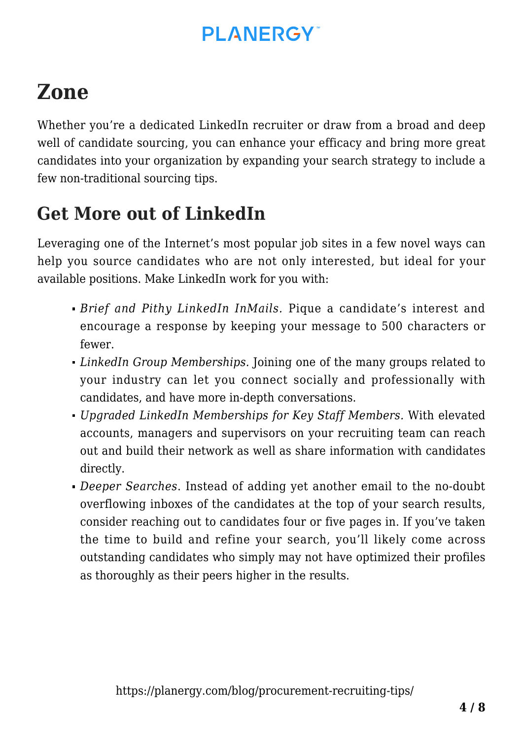## **Zone**

Whether you're a dedicated LinkedIn recruiter or draw from a broad and deep well of candidate sourcing, you can enhance your efficacy and bring more great candidates into your organization by expanding your search strategy to include a few non-traditional sourcing tips.

#### **Get More out of LinkedIn**

Leveraging one of the Internet's most popular job sites in a few novel ways can help you source candidates who are not only interested, but ideal for your available positions. Make LinkedIn work for you with:

- *Brief and Pithy LinkedIn InMails.* Pique a candidate's interest and encourage a response by keeping your message to 500 characters or fewer.
- *LinkedIn Group Memberships.* Joining one of the many groups related to your industry can let you connect socially and professionally with candidates, and have more in-depth conversations.
- *Upgraded LinkedIn Memberships for Key Staff Members.* With elevated accounts, managers and supervisors on your recruiting team can reach out and build their network as well as share information with candidates directly.
- *Deeper Searches*. Instead of adding yet another email to the no-doubt overflowing inboxes of the candidates at the top of your search results, consider reaching out to candidates four or five pages in. If you've taken the time to build and refine your search, you'll likely come across outstanding candidates who simply may not have optimized their profiles as thoroughly as their peers higher in the results.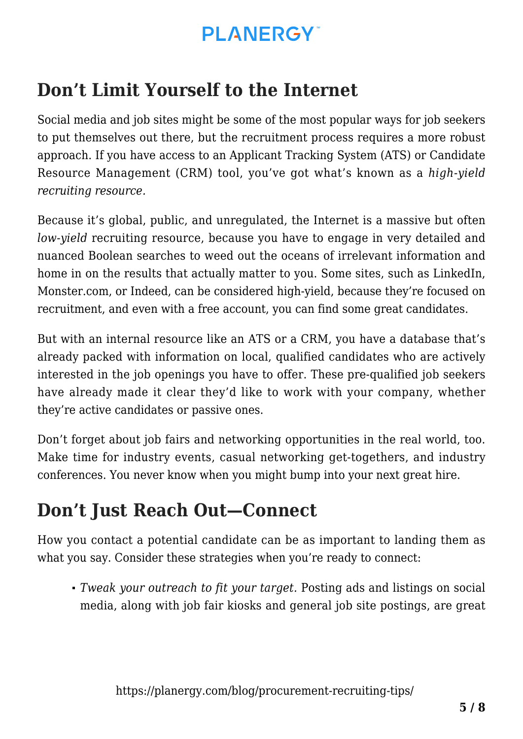#### **Don't Limit Yourself to the Internet**

Social media and job sites might be some of the most popular ways for job seekers to put themselves out there, but the recruitment process requires a more robust approach. If you have access to an Applicant Tracking System (ATS) or Candidate Resource Management (CRM) tool, you've got what's known as a *high-yield recruiting resource.*

Because it's global, public, and unregulated, the Internet is a massive but often *low-yield* recruiting resource, because you have to engage in very detailed and nuanced Boolean searches to weed out the oceans of irrelevant information and home in on the results that actually matter to you. Some sites, such as LinkedIn, Monster.com, or Indeed, can be considered high-yield, because they're focused on recruitment, and even with a free account, you can find some great candidates.

But with an internal resource like an ATS or a CRM, you have a database that's already packed with information on local, qualified candidates who are actively interested in the job openings you have to offer. These pre-qualified job seekers have already made it clear they'd like to work with your company, whether they're active candidates or passive ones.

Don't forget about job fairs and networking opportunities in the real world, too. Make time for industry events, casual networking get-togethers, and industry conferences. You never know when you might bump into your next great hire.

#### **Don't Just Reach Out—Connect**

How you contact a potential candidate can be as important to landing them as what you say. Consider these strategies when you're ready to connect:

*Tweak your outreach to fit your target.* Posting ads and listings on social media, along with job fair kiosks and general job site postings, are great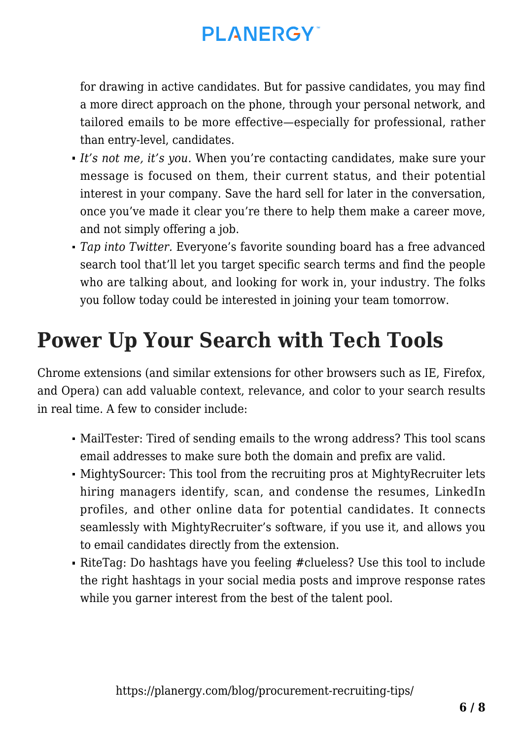for drawing in active candidates. But for passive candidates, you may find a more direct approach on the phone, through your personal network, and tailored emails to be more effective—especially for professional, rather than entry-level, candidates.

- *It's not me, it's you.* When you're contacting candidates, make sure your message is focused on them, their current status, and their potential interest in your company. Save the hard sell for later in the conversation, once you've made it clear you're there to help them make a career move, and not simply offering a job.
- *Tap into Twitter.* Everyone's favorite sounding board has a free advanced search tool that'll let you target specific search terms and find the people who are talking about, and looking for work in, your industry. The folks you follow today could be interested in joining your team tomorrow.

### **Power Up Your Search with Tech Tools**

Chrome extensions (and similar extensions for other browsers such as IE, Firefox, and Opera) can add valuable context, relevance, and color to your search results in real time. A few to consider include:

- [MailTester:](https://mailtester.com) Tired of sending emails to the wrong address? This tool scans email addresses to make sure both the domain and prefix are valid.
- [MightySourcer:](https://www.mightyrecruiter.com/hiring-software-features/mightysourcer-chrome-extension/) This tool from the recruiting pros at MightyRecruiter lets hiring managers identify, scan, and condense the resumes, LinkedIn profiles, and other online data for potential candidates. It connects seamlessly with MightyRecruiter's software, if you use it, and allows you to email candidates directly from the extension.
- [RiteTag](https://ritetag.com): Do hashtags have you feeling #clueless? Use this tool to include the right hashtags in your social media posts and improve response rates while you garner interest from the best of the talent pool.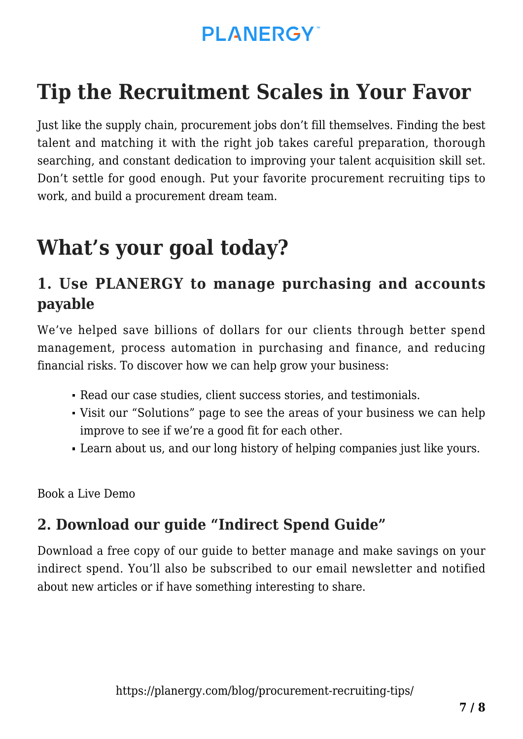## **Tip the Recruitment Scales in Your Favor**

Just like the supply chain, procurement jobs don't fill themselves. Finding the best talent and matching it with the right job takes careful preparation, thorough searching, and constant dedication to improving your talent acquisition skill set. Don't settle for good enough. Put your favorite procurement recruiting tips to work, and build a procurement dream team.

## **What's your goal today?**

#### **1. Use PLANERGY to manage purchasing and accounts payable**

We've helped save billions of dollars for our clients through better spend management, process automation in purchasing and finance, and reducing financial risks. To discover how we can help grow your business:

- Read our [case studies, client success stories, and testimonials.](https://planergy.com/customers/)
- Visit our ["Solutions"](https://planergy.com/?elementor_library=single-post&elementor-preview=412&ver=1637705482#) page to see the areas of your business we can help improve to see if we're a good fit for each other.
- Learn [about us, and our long history of helping companies just like yours.](https://planergy.com/about-us/)

[Book a Live Demo](https://planergy.com/schedule-a-demo/)

#### **2. Download our guide "Indirect Spend Guide"**

[Download a free copy](https://planergy.com/resources/indirect-spend-guide/) of our guide to better manage and make savings on your indirect spend. You'll also be subscribed to our [email newsletter](#page--1-0) and notified about new articles or if have something interesting to share.